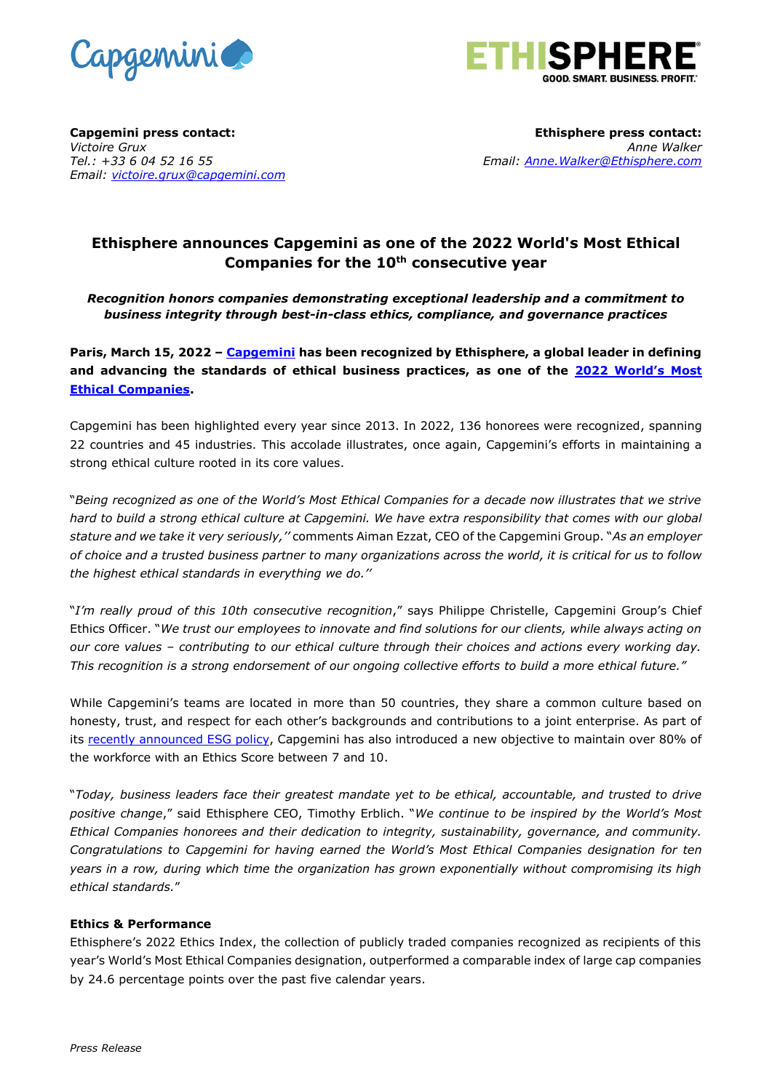



**Capgemini press contact:** *Victoire Grux Tel.: +33 6 04 52 16 55 Email: [victoire.grux@capgemini.com](mailto:victoire.grux@capgemini.com)*

**Ethisphere press contact:** *Anne Walker Email: [Anne.Walker@Ethisphere.com](mailto:Anne.Walker@Ethisphere.com)*

# **Ethisphere announces Capgemini as one of the 2022 World's Most Ethical Companies for the 10th consecutive year**

# *Recognition honors companies demonstrating exceptional leadership and a commitment to business integrity through best-in-class ethics, compliance, and governance practices*

**Paris, March 15, 2022 – [Capgemini](http://www.capgemini.com/) has been recognized by Ethisphere, a global leader in defining and advancing the standards of ethical business practices, as one of the [2022 World's Most](https://worldsmostethicalcompanies.com/honorees)  [Ethical Companies.](https://worldsmostethicalcompanies.com/honorees)**

Capgemini has been highlighted every year since 2013. In 2022, 136 honorees were recognized, spanning 22 countries and 45 industries. This accolade illustrates, once again, Capgemini's efforts in maintaining a strong ethical culture rooted in its core values.

"*Being recognized as one of the World's Most Ethical Companies for a decade now illustrates that we strive hard to build a strong ethical culture at Capgemini. We have extra responsibility that comes with our global stature and we take it very seriously,''* comments Aiman Ezzat, CEO of the Capgemini Group. "*As an employer of choice and a trusted business partner to many organizations across the world, it is critical for us to follow the highest ethical standards in everything we do.''*

"*I'm really proud of this 10th consecutive recognition*," says Philippe Christelle, Capgemini Group's Chief Ethics Officer. "*We trust our employees to innovate and find solutions for our clients, while always acting on our core values – contributing to our ethical culture through their choices and actions every working day. This recognition is a strong endorsement of our ongoing collective efforts to build a more ethical future."*

While Capgemini's teams are located in more than 50 countries, they share a common culture based on honesty, trust, and respect for each other's backgrounds and contributions to a joint enterprise. As part of its [recently announced ESG policy,](https://www.capgemini.com/news/capgemini-sets-its-esg-objectives-to-reinforce-the-impact-of-its-sustainable-development-strategy/) Capgemini has also introduced a new objective to maintain over 80% of the workforce with an Ethics Score between 7 and 10.

"*Today, business leaders face their greatest mandate yet to be ethical, accountable, and trusted to drive positive change*," said Ethisphere CEO, Timothy Erblich. "*We continue to be inspired by the World's Most Ethical Companies honorees and their dedication to integrity, sustainability, governance, and community. Congratulations to Capgemini for having earned the World's Most Ethical Companies designation for ten years in a row, during which time the organization has grown exponentially without compromising its high ethical standards.*"

## **Ethics & Performance**

Ethisphere's 2022 Ethics Index, the collection of publicly traded companies recognized as recipients of this year's World's Most Ethical Companies designation, outperformed a comparable index of large cap companies by 24.6 percentage points over the past five calendar years.